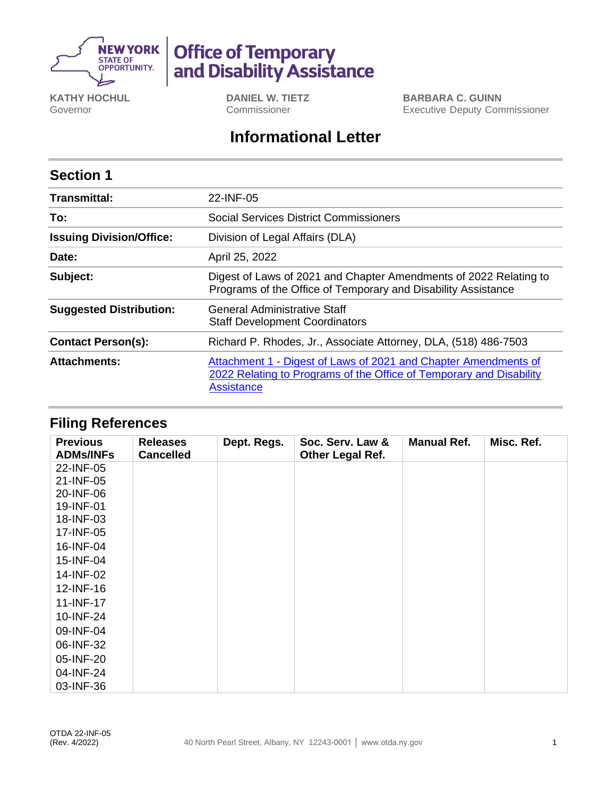

# **Office of Temporary<br>and Disability Assistance**

**KATHY HOCHUL** Governor

**DANIEL W. TIETZ** Commissioner

**BARBARA C. GUINN** Executive Deputy Commissioner

## **Informational Letter**

## **Section 1**

| Transmittal:                    | 22-INF-05                                                                                                                                                   |  |  |  |
|---------------------------------|-------------------------------------------------------------------------------------------------------------------------------------------------------------|--|--|--|
| To:                             | Social Services District Commissioners                                                                                                                      |  |  |  |
| <b>Issuing Division/Office:</b> | Division of Legal Affairs (DLA)                                                                                                                             |  |  |  |
| Date:                           | April 25, 2022                                                                                                                                              |  |  |  |
| Subject:                        | Digest of Laws of 2021 and Chapter Amendments of 2022 Relating to<br>Programs of the Office of Temporary and Disability Assistance                          |  |  |  |
| <b>Suggested Distribution:</b>  | General Administrative Staff<br><b>Staff Development Coordinators</b>                                                                                       |  |  |  |
| <b>Contact Person(s):</b>       | Richard P. Rhodes, Jr., Associate Attorney, DLA, (518) 486-7503                                                                                             |  |  |  |
| <b>Attachments:</b>             | Attachment 1 - Digest of Laws of 2021 and Chapter Amendments of<br>2022 Relating to Programs of the Office of Temporary and Disability<br><b>Assistance</b> |  |  |  |

### **Filing References**

| <b>Previous</b><br><b>ADMs/INFs</b> | <b>Releases</b><br><b>Cancelled</b> | Dept. Regs. | Soc. Serv. Law &<br>Other Legal Ref. | <b>Manual Ref.</b> | Misc. Ref. |
|-------------------------------------|-------------------------------------|-------------|--------------------------------------|--------------------|------------|
| 22-INF-05                           |                                     |             |                                      |                    |            |
| 21-INF-05                           |                                     |             |                                      |                    |            |
| 20-INF-06                           |                                     |             |                                      |                    |            |
| 19-INF-01                           |                                     |             |                                      |                    |            |
| 18-INF-03                           |                                     |             |                                      |                    |            |
| 17-INF-05                           |                                     |             |                                      |                    |            |
| 16-INF-04                           |                                     |             |                                      |                    |            |
| 15-INF-04                           |                                     |             |                                      |                    |            |
| 14-INF-02                           |                                     |             |                                      |                    |            |
| 12-INF-16                           |                                     |             |                                      |                    |            |
| 11-INF-17                           |                                     |             |                                      |                    |            |
| 10-INF-24                           |                                     |             |                                      |                    |            |
| 09-INF-04                           |                                     |             |                                      |                    |            |
| 06-INF-32                           |                                     |             |                                      |                    |            |
| 05-INF-20                           |                                     |             |                                      |                    |            |
| 04-INF-24                           |                                     |             |                                      |                    |            |
| 03-INF-36                           |                                     |             |                                      |                    |            |